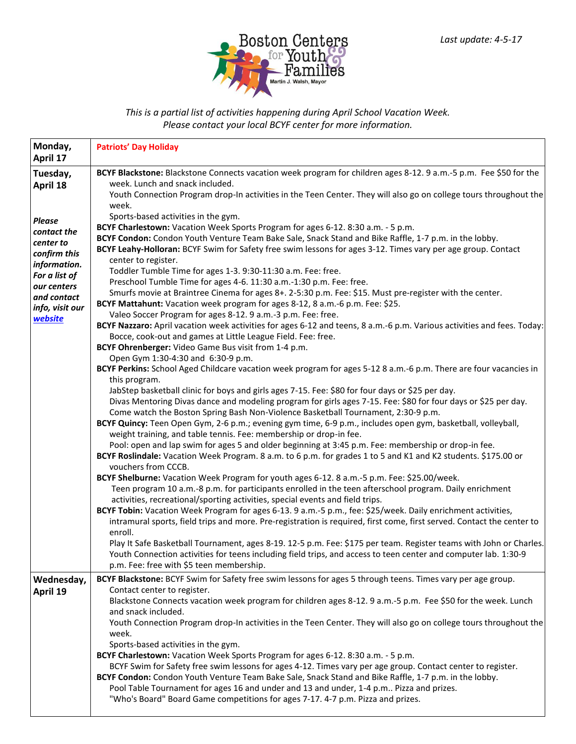

*This is a partial list of activities happening during April School Vacation Week. Please contact your local BCYF center for more information.*

| Monday,<br>April 17           | <b>Patriots' Day Holiday</b>                                                                                                                                                                                                                                                                                    |
|-------------------------------|-----------------------------------------------------------------------------------------------------------------------------------------------------------------------------------------------------------------------------------------------------------------------------------------------------------------|
| Tuesday,                      | BCYF Blackstone: Blackstone Connects vacation week program for children ages 8-12. 9 a.m.-5 p.m. Fee \$50 for the                                                                                                                                                                                               |
| April 18                      | week. Lunch and snack included.<br>Youth Connection Program drop-In activities in the Teen Center. They will also go on college tours throughout the<br>week.                                                                                                                                                   |
| <b>Please</b>                 | Sports-based activities in the gym.                                                                                                                                                                                                                                                                             |
| contact the                   | BCYF Charlestown: Vacation Week Sports Program for ages 6-12. 8:30 a.m. - 5 p.m.                                                                                                                                                                                                                                |
| center to                     | BCYF Condon: Condon Youth Venture Team Bake Sale, Snack Stand and Bike Raffle, 1-7 p.m. in the lobby.<br>BCYF Leahy-Holloran: BCYF Swim for Safety free swim lessons for ages 3-12. Times vary per age group. Contact                                                                                           |
| confirm this                  | center to register.                                                                                                                                                                                                                                                                                             |
| information.<br>For a list of | Toddler Tumble Time for ages 1-3. 9:30-11:30 a.m. Fee: free.                                                                                                                                                                                                                                                    |
| our centers                   | Preschool Tumble Time for ages 4-6. 11:30 a.m.-1:30 p.m. Fee: free.                                                                                                                                                                                                                                             |
| and contact                   | Smurfs movie at Braintree Cinema for ages 8+. 2-5:30 p.m. Fee: \$15. Must pre-register with the center.                                                                                                                                                                                                         |
| info, visit our               | BCYF Mattahunt: Vacation week program for ages 8-12, 8 a.m.-6 p.m. Fee: \$25.<br>Valeo Soccer Program for ages 8-12. 9 a.m.-3 p.m. Fee: free.                                                                                                                                                                   |
| website                       | BCYF Nazzaro: April vacation week activities for ages 6-12 and teens, 8 a.m.-6 p.m. Various activities and fees. Today:                                                                                                                                                                                         |
|                               | Bocce, cook-out and games at Little League Field. Fee: free.                                                                                                                                                                                                                                                    |
|                               | BCYF Ohrenberger: Video Game Bus visit from 1-4 p.m.                                                                                                                                                                                                                                                            |
|                               | Open Gym 1:30-4:30 and 6:30-9 p.m.                                                                                                                                                                                                                                                                              |
|                               | BCYF Perkins: School Aged Childcare vacation week program for ages 5-12 8 a.m.-6 p.m. There are four vacancies in                                                                                                                                                                                               |
|                               | this program.<br>JabStep basketball clinic for boys and girls ages 7-15. Fee: \$80 for four days or \$25 per day.                                                                                                                                                                                               |
|                               | Divas Mentoring Divas dance and modeling program for girls ages 7-15. Fee: \$80 for four days or \$25 per day.                                                                                                                                                                                                  |
|                               | Come watch the Boston Spring Bash Non-Violence Basketball Tournament, 2:30-9 p.m.                                                                                                                                                                                                                               |
|                               | BCYF Quincy: Teen Open Gym, 2-6 p.m.; evening gym time, 6-9 p.m., includes open gym, basketball, volleyball,                                                                                                                                                                                                    |
|                               | weight training, and table tennis. Fee: membership or drop-in fee.                                                                                                                                                                                                                                              |
|                               | Pool: open and lap swim for ages 5 and older beginning at 3:45 p.m. Fee: membership or drop-in fee.<br>BCYF Roslindale: Vacation Week Program. 8 a.m. to 6 p.m. for grades 1 to 5 and K1 and K2 students. \$175.00 or                                                                                           |
|                               | vouchers from CCCB.                                                                                                                                                                                                                                                                                             |
|                               | BCYF Shelburne: Vacation Week Program for youth ages 6-12. 8 a.m.-5 p.m. Fee: \$25.00/week.                                                                                                                                                                                                                     |
|                               | Teen program 10 a.m.-8 p.m. for participants enrolled in the teen afterschool program. Daily enrichment<br>activities, recreational/sporting activities, special events and field trips.                                                                                                                        |
|                               | BCYF Tobin: Vacation Week Program for ages 6-13. 9 a.m.-5 p.m., fee: \$25/week. Daily enrichment activities,                                                                                                                                                                                                    |
|                               | intramural sports, field trips and more. Pre-registration is required, first come, first served. Contact the center to                                                                                                                                                                                          |
|                               | enroll.<br>Play It Safe Basketball Tournament, ages 8-19. 12-5 p.m. Fee: \$175 per team. Register teams with John or Charles.                                                                                                                                                                                   |
|                               | Youth Connection activities for teens including field trips, and access to teen center and computer lab. 1:30-9                                                                                                                                                                                                 |
|                               | p.m. Fee: free with \$5 teen membership.                                                                                                                                                                                                                                                                        |
| Wednesday,                    | BCYF Blackstone: BCYF Swim for Safety free swim lessons for ages 5 through teens. Times vary per age group.                                                                                                                                                                                                     |
| April 19                      | Contact center to register.                                                                                                                                                                                                                                                                                     |
|                               | Blackstone Connects vacation week program for children ages 8-12. 9 a.m.-5 p.m. Fee \$50 for the week. Lunch                                                                                                                                                                                                    |
|                               | and snack included.<br>Youth Connection Program drop-In activities in the Teen Center. They will also go on college tours throughout the                                                                                                                                                                        |
|                               | week.                                                                                                                                                                                                                                                                                                           |
|                               | Sports-based activities in the gym.                                                                                                                                                                                                                                                                             |
|                               | BCYF Charlestown: Vacation Week Sports Program for ages 6-12. 8:30 a.m. - 5 p.m.                                                                                                                                                                                                                                |
|                               | BCYF Swim for Safety free swim lessons for ages 4-12. Times vary per age group. Contact center to register.<br>BCYF Condon: Condon Youth Venture Team Bake Sale, Snack Stand and Bike Raffle, 1-7 p.m. in the lobby.<br>Pool Table Tournament for ages 16 and under and 13 and under, 1-4 p.m Pizza and prizes. |
|                               | "Who's Board" Board Game competitions for ages 7-17. 4-7 p.m. Pizza and prizes.                                                                                                                                                                                                                                 |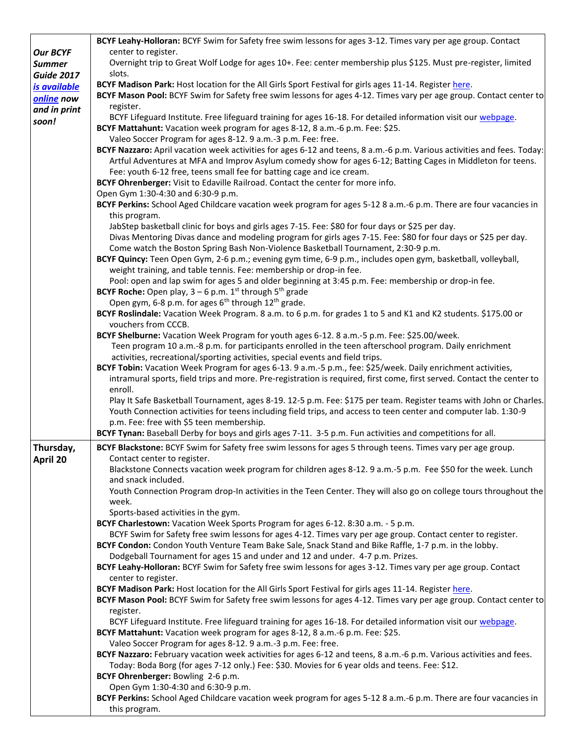|                   | BCYF Leahy-Holloran: BCYF Swim for Safety free swim lessons for ages 3-12. Times vary per age group. Contact                                                                                                                           |
|-------------------|----------------------------------------------------------------------------------------------------------------------------------------------------------------------------------------------------------------------------------------|
| <b>Our BCYF</b>   | center to register.                                                                                                                                                                                                                    |
| <b>Summer</b>     | Overnight trip to Great Wolf Lodge for ages 10+. Fee: center membership plus \$125. Must pre-register, limited                                                                                                                         |
| <b>Guide 2017</b> | slots.                                                                                                                                                                                                                                 |
| is available      | BCYF Madison Park: Host location for the All Girls Sport Festival for girls ages 11-14. Register here.                                                                                                                                 |
| online now        | BCYF Mason Pool: BCYF Swim for Safety free swim lessons for ages 4-12. Times vary per age group. Contact center to                                                                                                                     |
| and in print      | register.                                                                                                                                                                                                                              |
| soon!             | BCYF Lifeguard Institute. Free lifeguard training for ages 16-18. For detailed information visit our webpage.                                                                                                                          |
|                   | BCYF Mattahunt: Vacation week program for ages 8-12, 8 a.m.-6 p.m. Fee: \$25.                                                                                                                                                          |
|                   | Valeo Soccer Program for ages 8-12. 9 a.m.-3 p.m. Fee: free.                                                                                                                                                                           |
|                   | BCYF Nazzaro: April vacation week activities for ages 6-12 and teens, 8 a.m.-6 p.m. Various activities and fees. Today:<br>Artful Adventures at MFA and Improv Asylum comedy show for ages 6-12; Batting Cages in Middleton for teens. |
|                   | Fee: youth 6-12 free, teens small fee for batting cage and ice cream.                                                                                                                                                                  |
|                   | BCYF Ohrenberger: Visit to Edaville Railroad. Contact the center for more info.                                                                                                                                                        |
|                   | Open Gym 1:30-4:30 and 6:30-9 p.m.                                                                                                                                                                                                     |
|                   | BCYF Perkins: School Aged Childcare vacation week program for ages 5-12 8 a.m.-6 p.m. There are four vacancies in                                                                                                                      |
|                   | this program.                                                                                                                                                                                                                          |
|                   | JabStep basketball clinic for boys and girls ages 7-15. Fee: \$80 for four days or \$25 per day.                                                                                                                                       |
|                   | Divas Mentoring Divas dance and modeling program for girls ages 7-15. Fee: \$80 for four days or \$25 per day.                                                                                                                         |
|                   | Come watch the Boston Spring Bash Non-Violence Basketball Tournament, 2:30-9 p.m.                                                                                                                                                      |
|                   | BCYF Quincy: Teen Open Gym, 2-6 p.m.; evening gym time, 6-9 p.m., includes open gym, basketball, volleyball,<br>weight training, and table tennis. Fee: membership or drop-in fee.                                                     |
|                   |                                                                                                                                                                                                                                        |
|                   | Pool: open and lap swim for ages 5 and older beginning at 3:45 p.m. Fee: membership or drop-in fee.<br><b>BCYF Roche:</b> Open play, $3 - 6$ p.m. 1 <sup>st</sup> through 5 <sup>th</sup> grade                                        |
|                   | Open gym, 6-8 p.m. for ages 6 <sup>th</sup> through 12 <sup>th</sup> grade.                                                                                                                                                            |
|                   | BCYF Roslindale: Vacation Week Program. 8 a.m. to 6 p.m. for grades 1 to 5 and K1 and K2 students. \$175.00 or                                                                                                                         |
|                   | vouchers from CCCB.                                                                                                                                                                                                                    |
|                   | BCYF Shelburne: Vacation Week Program for youth ages 6-12. 8 a.m.-5 p.m. Fee: \$25.00/week.                                                                                                                                            |
|                   | Teen program 10 a.m.-8 p.m. for participants enrolled in the teen afterschool program. Daily enrichment                                                                                                                                |
|                   | activities, recreational/sporting activities, special events and field trips.                                                                                                                                                          |
|                   | BCYF Tobin: Vacation Week Program for ages 6-13. 9 a.m.-5 p.m., fee: \$25/week. Daily enrichment activities,                                                                                                                           |
|                   | intramural sports, field trips and more. Pre-registration is required, first come, first served. Contact the center to                                                                                                                 |
|                   | enroll.                                                                                                                                                                                                                                |
|                   | Play It Safe Basketball Tournament, ages 8-19. 12-5 p.m. Fee: \$175 per team. Register teams with John or Charles.                                                                                                                     |
|                   | Youth Connection activities for teens including field trips, and access to teen center and computer lab. 1:30-9                                                                                                                        |
|                   | p.m. Fee: free with \$5 teen membership.                                                                                                                                                                                               |
|                   | BCYF Tynan: Baseball Derby for boys and girls ages 7-11. 3-5 p.m. Fun activities and competitions for all.                                                                                                                             |
| Thursday,         | BCYF Blackstone: BCYF Swim for Safety free swim lessons for ages 5 through teens. Times vary per age group.                                                                                                                            |
| April 20          | Contact center to register.                                                                                                                                                                                                            |
|                   | Blackstone Connects vacation week program for children ages 8-12. 9 a.m.-5 p.m. Fee \$50 for the week. Lunch                                                                                                                           |
|                   | and snack included.                                                                                                                                                                                                                    |
|                   | Youth Connection Program drop-In activities in the Teen Center. They will also go on college tours throughout the                                                                                                                      |
|                   | week.                                                                                                                                                                                                                                  |
|                   | Sports-based activities in the gym.                                                                                                                                                                                                    |
|                   | BCYF Charlestown: Vacation Week Sports Program for ages 6-12. 8:30 a.m. - 5 p.m.                                                                                                                                                       |
|                   | BCYF Swim for Safety free swim lessons for ages 4-12. Times vary per age group. Contact center to register.<br>BCYF Condon: Condon Youth Venture Team Bake Sale, Snack Stand and Bike Raffle, 1-7 p.m. in the lobby.                   |
|                   | Dodgeball Tournament for ages 15 and under and 12 and under. 4-7 p.m. Prizes.                                                                                                                                                          |
|                   | BCYF Leahy-Holloran: BCYF Swim for Safety free swim lessons for ages 3-12. Times vary per age group. Contact                                                                                                                           |
|                   | center to register.                                                                                                                                                                                                                    |
|                   | BCYF Madison Park: Host location for the All Girls Sport Festival for girls ages 11-14. Register here.                                                                                                                                 |
|                   | BCYF Mason Pool: BCYF Swim for Safety free swim lessons for ages 4-12. Times vary per age group. Contact center to                                                                                                                     |
|                   | register.                                                                                                                                                                                                                              |
|                   | BCYF Lifeguard Institute. Free lifeguard training for ages 16-18. For detailed information visit our webpage.                                                                                                                          |
|                   | BCYF Mattahunt: Vacation week program for ages 8-12, 8 a.m.-6 p.m. Fee: \$25.                                                                                                                                                          |
|                   | Valeo Soccer Program for ages 8-12. 9 a.m.-3 p.m. Fee: free.                                                                                                                                                                           |
|                   | BCYF Nazzaro: February vacation week activities for ages 6-12 and teens, 8 a.m.-6 p.m. Various activities and fees.                                                                                                                    |
|                   | Today: Boda Borg (for ages 7-12 only.) Fee: \$30. Movies for 6 year olds and teens. Fee: \$12.                                                                                                                                         |
|                   | BCYF Ohrenberger: Bowling 2-6 p.m.                                                                                                                                                                                                     |
|                   | Open Gym 1:30-4:30 and 6:30-9 p.m.                                                                                                                                                                                                     |
|                   | BCYF Perkins: School Aged Childcare vacation week program for ages 5-12 8 a.m.-6 p.m. There are four vacancies in                                                                                                                      |
|                   | this program.                                                                                                                                                                                                                          |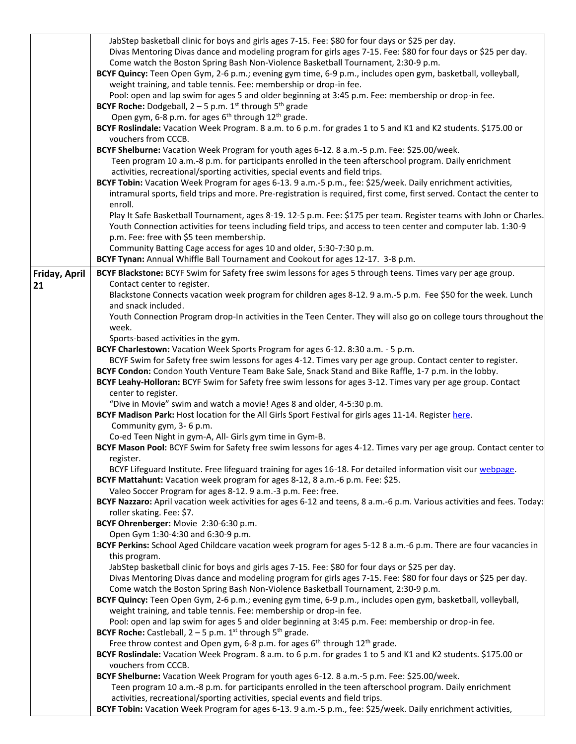|               | JabStep basketball clinic for boys and girls ages 7-15. Fee: \$80 for four days or \$25 per day.                        |
|---------------|-------------------------------------------------------------------------------------------------------------------------|
|               | Divas Mentoring Divas dance and modeling program for girls ages 7-15. Fee: \$80 for four days or \$25 per day.          |
|               | Come watch the Boston Spring Bash Non-Violence Basketball Tournament, 2:30-9 p.m.                                       |
|               | BCYF Quincy: Teen Open Gym, 2-6 p.m.; evening gym time, 6-9 p.m., includes open gym, basketball, volleyball,            |
|               | weight training, and table tennis. Fee: membership or drop-in fee.                                                      |
|               | Pool: open and lap swim for ages 5 and older beginning at 3:45 p.m. Fee: membership or drop-in fee.                     |
|               | <b>BCYF Roche:</b> Dodgeball, $2 - 5$ p.m. 1 <sup>st</sup> through $5th$ grade                                          |
|               | Open gym, 6-8 p.m. for ages 6 <sup>th</sup> through 12 <sup>th</sup> grade.                                             |
|               | BCYF Roslindale: Vacation Week Program. 8 a.m. to 6 p.m. for grades 1 to 5 and K1 and K2 students. \$175.00 or          |
|               | vouchers from CCCB.                                                                                                     |
|               | BCYF Shelburne: Vacation Week Program for youth ages 6-12. 8 a.m.-5 p.m. Fee: \$25.00/week.                             |
|               | Teen program 10 a.m.-8 p.m. for participants enrolled in the teen afterschool program. Daily enrichment                 |
|               | activities, recreational/sporting activities, special events and field trips.                                           |
|               | BCYF Tobin: Vacation Week Program for ages 6-13. 9 a.m.-5 p.m., fee: \$25/week. Daily enrichment activities,            |
|               | intramural sports, field trips and more. Pre-registration is required, first come, first served. Contact the center to  |
|               | enroll.                                                                                                                 |
|               | Play It Safe Basketball Tournament, ages 8-19. 12-5 p.m. Fee: \$175 per team. Register teams with John or Charles.      |
|               | Youth Connection activities for teens including field trips, and access to teen center and computer lab. 1:30-9         |
|               | p.m. Fee: free with \$5 teen membership.                                                                                |
|               | Community Batting Cage access for ages 10 and older, 5:30-7:30 p.m.                                                     |
|               | BCYF Tynan: Annual Whiffle Ball Tournament and Cookout for ages 12-17. 3-8 p.m.                                         |
|               |                                                                                                                         |
| Friday, April | BCYF Blackstone: BCYF Swim for Safety free swim lessons for ages 5 through teens. Times vary per age group.             |
| 21            | Contact center to register.                                                                                             |
|               | Blackstone Connects vacation week program for children ages 8-12. 9 a.m.-5 p.m. Fee \$50 for the week. Lunch            |
|               | and snack included.                                                                                                     |
|               | Youth Connection Program drop-In activities in the Teen Center. They will also go on college tours throughout the       |
|               | week.                                                                                                                   |
|               | Sports-based activities in the gym.                                                                                     |
|               | BCYF Charlestown: Vacation Week Sports Program for ages 6-12. 8:30 a.m. - 5 p.m.                                        |
|               | BCYF Swim for Safety free swim lessons for ages 4-12. Times vary per age group. Contact center to register.             |
|               | BCYF Condon: Condon Youth Venture Team Bake Sale, Snack Stand and Bike Raffle, 1-7 p.m. in the lobby.                   |
|               | BCYF Leahy-Holloran: BCYF Swim for Safety free swim lessons for ages 3-12. Times vary per age group. Contact            |
|               | center to register.                                                                                                     |
|               | "Dive in Movie" swim and watch a movie! Ages 8 and older, 4-5:30 p.m.                                                   |
|               | BCYF Madison Park: Host location for the All Girls Sport Festival for girls ages 11-14. Register here.                  |
|               | Community gym, 3- 6 p.m.                                                                                                |
|               | Co-ed Teen Night in gym-A, All- Girls gym time in Gym-B.                                                                |
|               | BCYF Mason Pool: BCYF Swim for Safety free swim lessons for ages 4-12. Times vary per age group. Contact center to      |
|               | register.                                                                                                               |
|               | BCYF Lifeguard Institute. Free lifeguard training for ages 16-18. For detailed information visit our webpage.           |
|               | BCYF Mattahunt: Vacation week program for ages 8-12, 8 a.m.-6 p.m. Fee: \$25.                                           |
|               | Valeo Soccer Program for ages 8-12. 9 a.m.-3 p.m. Fee: free.                                                            |
|               | BCYF Nazzaro: April vacation week activities for ages 6-12 and teens, 8 a.m.-6 p.m. Various activities and fees. Today: |
|               | roller skating. Fee: \$7.                                                                                               |
|               | BCYF Ohrenberger: Movie 2:30-6:30 p.m.                                                                                  |
|               | Open Gym 1:30-4:30 and 6:30-9 p.m.                                                                                      |
|               | BCYF Perkins: School Aged Childcare vacation week program for ages 5-12 8 a.m.-6 p.m. There are four vacancies in       |
|               | this program.                                                                                                           |
|               | JabStep basketball clinic for boys and girls ages 7-15. Fee: \$80 for four days or \$25 per day.                        |
|               | Divas Mentoring Divas dance and modeling program for girls ages 7-15. Fee: \$80 for four days or \$25 per day.          |
|               | Come watch the Boston Spring Bash Non-Violence Basketball Tournament, 2:30-9 p.m.                                       |
|               | BCYF Quincy: Teen Open Gym, 2-6 p.m.; evening gym time, 6-9 p.m., includes open gym, basketball, volleyball,            |
|               | weight training, and table tennis. Fee: membership or drop-in fee.                                                      |
|               | Pool: open and lap swim for ages 5 and older beginning at 3:45 p.m. Fee: membership or drop-in fee.                     |
|               | <b>BCYF Roche:</b> Castleball, $2 - 5$ p.m. 1 <sup>st</sup> through $5th$ grade.                                        |
|               | Free throw contest and Open gym, 6-8 p.m. for ages $6th$ through 12 <sup>th</sup> grade.                                |
|               | BCYF Roslindale: Vacation Week Program. 8 a.m. to 6 p.m. for grades 1 to 5 and K1 and K2 students. \$175.00 or          |
|               | vouchers from CCCB.                                                                                                     |
|               | BCYF Shelburne: Vacation Week Program for youth ages 6-12. 8 a.m.-5 p.m. Fee: \$25.00/week.                             |
|               | Teen program 10 a.m.-8 p.m. for participants enrolled in the teen afterschool program. Daily enrichment                 |
|               | activities, recreational/sporting activities, special events and field trips.                                           |
|               | BCYF Tobin: Vacation Week Program for ages 6-13. 9 a.m.-5 p.m., fee: \$25/week. Daily enrichment activities,            |